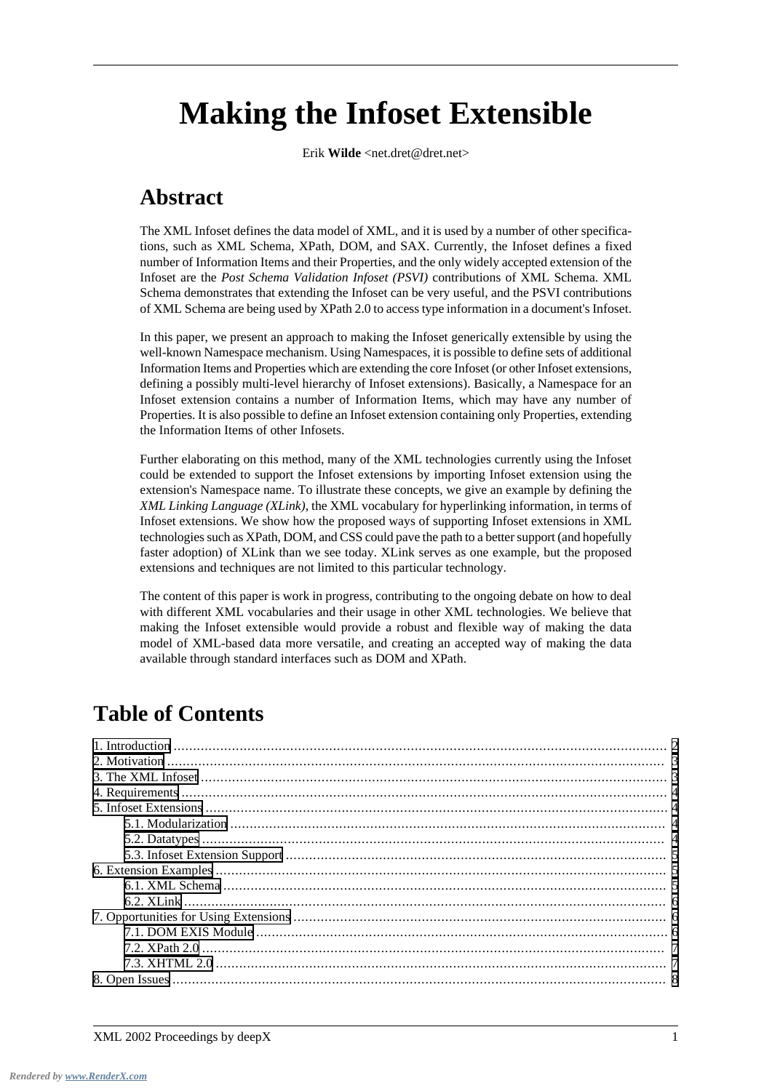# **Making the Infoset Extensible**

Erik **Wilde** <net.dret@dret.net>

# **Abstract**

The XML Infoset defines the data model of XML, and it is used by a number of other specifications, such as XML Schema, XPath, DOM, and SAX. Currently, the Infoset defines a fixed number of Information Items and their Properties, and the only widely accepted extension of the Infoset are the *Post Schema Validation Infoset (PSVI)* contributions of XML Schema. XML Schema demonstrates that extending the Infoset can be very useful, and the PSVI contributions of XML Schema are being used by XPath 2.0 to access type information in a document's Infoset.

In this paper, we present an approach to making the Infoset generically extensible by using the well-known Namespace mechanism. Using Namespaces, it is possible to define sets of additional Information Items and Properties which are extending the core Infoset (or other Infoset extensions, defining a possibly multi-level hierarchy of Infoset extensions). Basically, a Namespace for an Infoset extension contains a number of Information Items, which may have any number of Properties. It is also possible to define an Infoset extension containing only Properties, extending the Information Items of other Infosets.

Further elaborating on this method, many of the XML technologies currently using the Infoset could be extended to support the Infoset extensions by importing Infoset extension using the extension's Namespace name. To illustrate these concepts, we give an example by defining the *XML Linking Language (XLink)*, the XML vocabulary for hyperlinking information, in terms of Infoset extensions. We show how the proposed ways of supporting Infoset extensions in XML technologies such as XPath, DOM, and CSS could pave the path to a better support (and hopefully faster adoption) of XLink than we see today. XLink serves as one example, but the proposed extensions and techniques are not limited to this particular technology.

The content of this paper is work in progress, contributing to the ongoing debate on how to deal with different XML vocabularies and their usage in other XML technologies. We believe that making the Infoset extensible would provide a robust and flexible way of making the data model of XML-based data more versatile, and creating an accepted way of making the data available through standard interfaces such as DOM and XPath.

# **Table of Contents**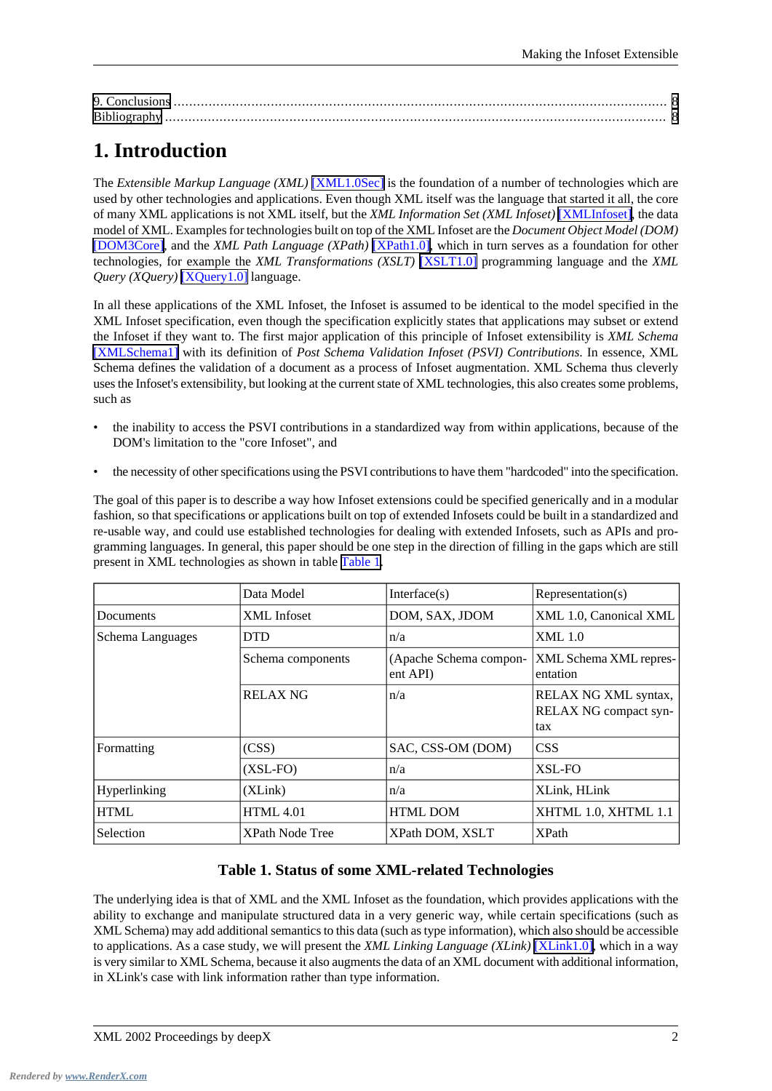# <span id="page-1-0"></span>**1. Introduction**

The *Extensible Markup Language (XML)* [\[XML1.0Sec\]](#page-8-0) is the foundation of a number of technologies which are used by other technologies and applications. Even though XML itself was the language that started it all, the core of many XML applications is not XML itself, but the *XML Information Set (XML Infoset)* [\[XMLInfoset\]](#page-8-1), the data model of XML. Examples for technologies built on top of the XML Infoset are the *Document Object Model (DOM)* [\[DOM3Core\]](#page-7-3), and the *XML Path Language (XPath)* [\[XPath1.0\],](#page-8-2) which in turn serves as a foundation for other technologies, for example the *XML Transformations (XSLT)* [\[XSLT1.0\]](#page-8-3) programming language and the *XML Query (XQuery)* [\[XQuery1.0\]](#page-8-4) language.

In all these applications of the XML Infoset, the Infoset is assumed to be identical to the model specified in the XML Infoset specification, even though the specification explicitly states that applications may subset or extend the Infoset if they want to. The first major application of this principle of Infoset extensibility is *XML Schema* [\[XMLSchema1\]](#page-8-5) with its definition of *Post Schema Validation Infoset (PSVI) Contributions*. In essence, XML Schema defines the validation of a document as a process of Infoset augmentation. XML Schema thus cleverly uses the Infoset's extensibility, but looking at the current state of XML technologies, this also creates some problems, such as

- the inability to access the PSVI contributions in a standardized way from within applications, because of the DOM's limitation to the "core Infoset", and
- the necessity of other specifications using the PSVI contributions to have them "hardcoded" into the specification.

<span id="page-1-1"></span>The goal of this paper is to describe a way how Infoset extensions could be specified generically and in a modular fashion, so that specifications or applications built on top of extended Infosets could be built in a standardized and re-usable way, and could use established technologies for dealing with extended Infosets, such as APIs and programming languages. In general, this paper should be one step in the direction of filling in the gaps which are still present in XML technologies as shown in table [Table 1](#page-1-1).

|                     | Data Model             | Interface $(s)$                    | Representation(s)                                    |
|---------------------|------------------------|------------------------------------|------------------------------------------------------|
| <b>Documents</b>    | XML Infoset            | DOM, SAX, JDOM                     | XML 1.0, Canonical XML                               |
| Schema Languages    | <b>DTD</b>             | n/a                                | <b>XML</b> 1.0                                       |
|                     | Schema components      | (Apache Schema compon-<br>ent API) | <b>XML Schema XML repres-</b><br>entation            |
|                     | <b>RELAX NG</b>        | n/a                                | RELAX NG XML syntax,<br>RELAX NG compact syn-<br>tax |
| Formatting          | (CSS)                  | SAC, CSS-OM (DOM)                  | <b>CSS</b>                                           |
|                     | $(XSL-FO)$             | n/a                                | XSL-FO                                               |
| <b>Hyperlinking</b> | (XLink)                | n/a                                | XLink, HLink                                         |
| <b>HTML</b>         | <b>HTML 4.01</b>       | <b>HTML DOM</b>                    | XHTML 1.0, XHTML 1.1                                 |
| Selection           | <b>XPath Node Tree</b> | XPath DOM, XSLT                    | <b>XPath</b>                                         |

#### **Table 1. Status of some XML-related Technologies**

The underlying idea is that of XML and the XML Infoset as the foundation, which provides applications with the ability to exchange and manipulate structured data in a very generic way, while certain specifications (such as XML Schema) may add additional semantics to this data (such as type information), which also should be accessible to applications. As a case study, we will present the *XML Linking Language (XLink)* [\[XLink1.0\]](#page-8-6), which in a way is very similar to XML Schema, because it also augments the data of an XML document with additional information, in XLink's case with link information rather than type information.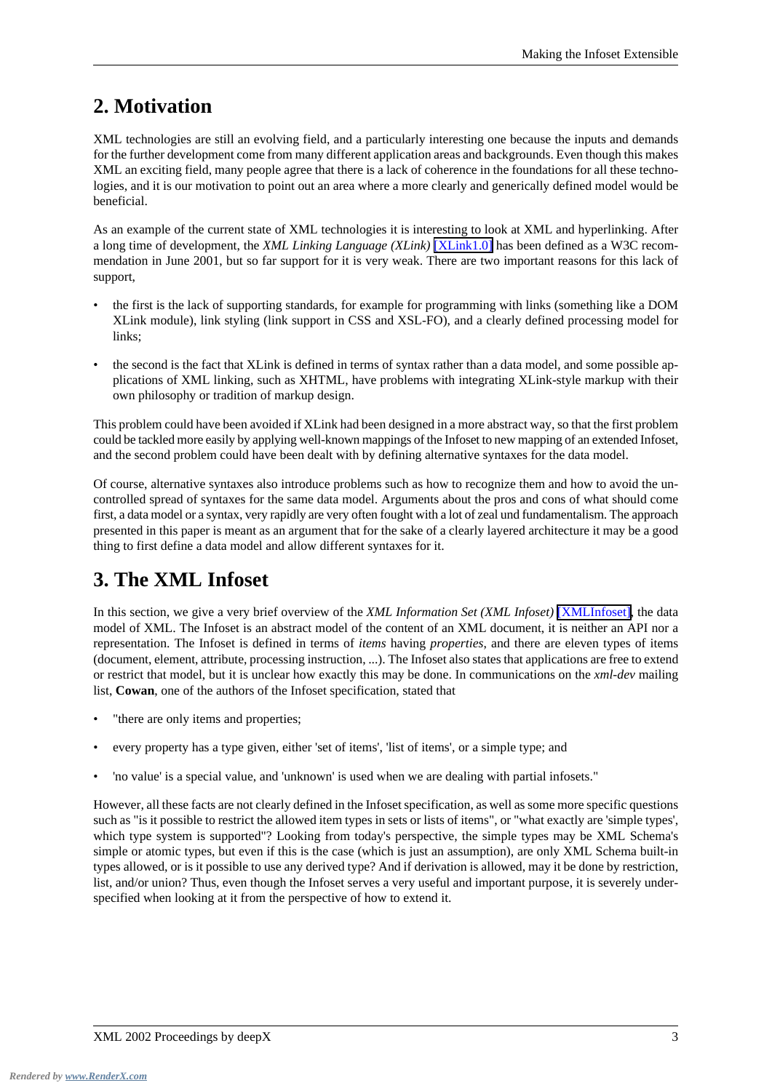#### <span id="page-2-0"></span>**2. Motivation**

XML technologies are still an evolving field, and a particularly interesting one because the inputs and demands for the further development come from many different application areas and backgrounds. Even though this makes XML an exciting field, many people agree that there is a lack of coherence in the foundations for all these technologies, and it is our motivation to point out an area where a more clearly and generically defined model would be beneficial.

As an example of the current state of XML technologies it is interesting to look at XML and hyperlinking. After a long time of development, the *XML Linking Language (XLink)* [\[XLink1.0\]](#page-8-6) has been defined as a W3C recommendation in June 2001, but so far support for it is very weak. There are two important reasons for this lack of support,

- the first is the lack of supporting standards, for example for programming with links (something like a DOM XLink module), link styling (link support in CSS and XSL-FO), and a clearly defined processing model for links;
- the second is the fact that XLink is defined in terms of syntax rather than a data model, and some possible applications of XML linking, such as XHTML, have problems with integrating XLink-style markup with their own philosophy or tradition of markup design.

This problem could have been avoided if XLink had been designed in a more abstract way, so that the first problem could be tackled more easily by applying well-known mappings of the Infoset to new mapping of an extended Infoset, and the second problem could have been dealt with by defining alternative syntaxes for the data model.

<span id="page-2-1"></span>Of course, alternative syntaxes also introduce problems such as how to recognize them and how to avoid the uncontrolled spread of syntaxes for the same data model. Arguments about the pros and cons of what should come first, a data model or a syntax, very rapidly are very often fought with a lot of zeal und fundamentalism. The approach presented in this paper is meant as an argument that for the sake of a clearly layered architecture it may be a good thing to first define a data model and allow different syntaxes for it.

## **3. The XML Infoset**

In this section, we give a very brief overview of the *XML Information Set (XML Infoset)* [\[XMLInfoset\],](#page-8-1) the data model of XML. The Infoset is an abstract model of the content of an XML document, it is neither an API nor a representation. The Infoset is defined in terms of *items* having *properties*, and there are eleven types of items (document, element, attribute, processing instruction, ...). The Infoset also states that applications are free to extend or restrict that model, but it is unclear how exactly this may be done. In communications on the *xml-dev* mailing list, **Cowan**, one of the authors of the Infoset specification, stated that

- "there are only items and properties;
- every property has a type given, either 'set of items', 'list of items', or a simple type; and
- 'no value' is a special value, and 'unknown' is used when we are dealing with partial infosets."

However, all these facts are not clearly defined in the Infoset specification, as well as some more specific questions such as "is it possible to restrict the allowed item types in sets or lists of items", or "what exactly are 'simple types', which type system is supported"? Looking from today's perspective, the simple types may be XML Schema's simple or atomic types, but even if this is the case (which is just an assumption), are only XML Schema built-in types allowed, or is it possible to use any derived type? And if derivation is allowed, may it be done by restriction, list, and/or union? Thus, even though the Infoset serves a very useful and important purpose, it is severely underspecified when looking at it from the perspective of how to extend it.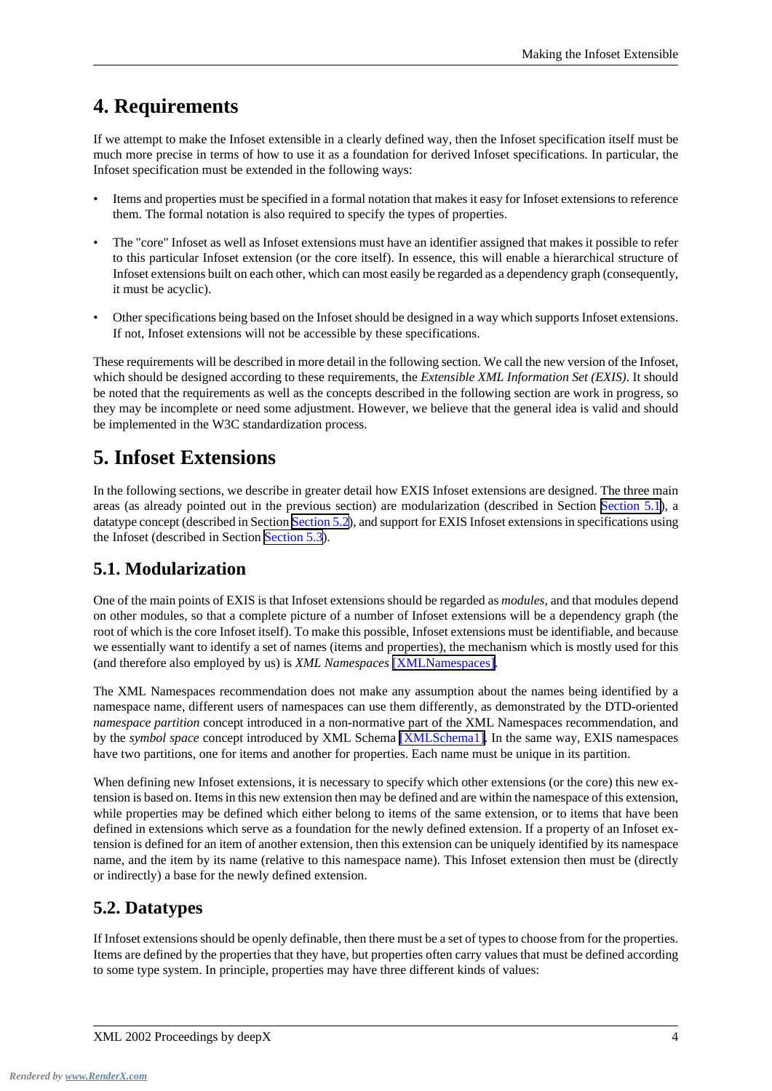### <span id="page-3-0"></span>**4. Requirements**

If we attempt to make the Infoset extensible in a clearly defined way, then the Infoset specification itself must be much more precise in terms of how to use it as a foundation for derived Infoset specifications. In particular, the Infoset specification must be extended in the following ways:

- Items and properties must be specified in a formal notation that makes it easy for Infoset extensions to reference them. The formal notation is also required to specify the types of properties.
- The "core" Infoset as well as Infoset extensions must have an identifier assigned that makes it possible to refer to this particular Infoset extension (or the core itself). In essence, this will enable a hierarchical structure of Infoset extensions built on each other, which can most easily be regarded as a dependency graph (consequently, it must be acyclic).
- Other specifications being based on the Infoset should be designed in a way which supports Infoset extensions. If not, Infoset extensions will not be accessible by these specifications.

<span id="page-3-1"></span>These requirements will be described in more detail in the following section. We call the new version of the Infoset, which should be designed according to these requirements, the *Extensible XML Information Set (EXIS)*. It should be noted that the requirements as well as the concepts described in the following section are work in progress, so they may be incomplete or need some adjustment. However, we believe that the general idea is valid and should be implemented in the W3C standardization process.

### **5. Infoset Extensions**

<span id="page-3-2"></span>In the following sections, we describe in greater detail how EXIS Infoset extensions are designed. The three main areas (as already pointed out in the previous section) are modularization (described in Section [Section 5.1\)](#page-3-2), a datatype concept (described in Section [Section 5.2](#page-3-3)), and support for EXIS Infoset extensions in specifications using the Infoset (described in Section [Section 5.3\)](#page-4-0).

#### **5.1. Modularization**

One of the main points of EXIS is that Infoset extensions should be regarded as *modules*, and that modules depend on other modules, so that a complete picture of a number of Infoset extensions will be a dependency graph (the root of which is the core Infoset itself). To make this possible, Infoset extensions must be identifiable, and because we essentially want to identify a set of names (items and properties), the mechanism which is mostly used for this (and therefore also employed by us) is *XML Namespaces* [\[XMLNamespaces\].](#page-8-7)

The XML Namespaces recommendation does not make any assumption about the names being identified by a namespace name, different users of namespaces can use them differently, as demonstrated by the DTD-oriented *namespace partition* concept introduced in a non-normative part of the XML Namespaces recommendation, and by the *symbol space* concept introduced by XML Schema [\[XMLSchema1\].](#page-8-5) In the same way, EXIS namespaces have two partitions, one for items and another for properties. Each name must be unique in its partition.

<span id="page-3-3"></span>When defining new Infoset extensions, it is necessary to specify which other extensions (or the core) this new extension is based on. Items in this new extension then may be defined and are within the namespace of this extension, while properties may be defined which either belong to items of the same extension, or to items that have been defined in extensions which serve as a foundation for the newly defined extension. If a property of an Infoset extension is defined for an item of another extension, then this extension can be uniquely identified by its namespace name, and the item by its name (relative to this namespace name). This Infoset extension then must be (directly or indirectly) a base for the newly defined extension.

#### **5.2. Datatypes**

If Infoset extensions should be openly definable, then there must be a set of types to choose from for the properties. Items are defined by the properties that they have, but properties often carry values that must be defined according to some type system. In principle, properties may have three different kinds of values: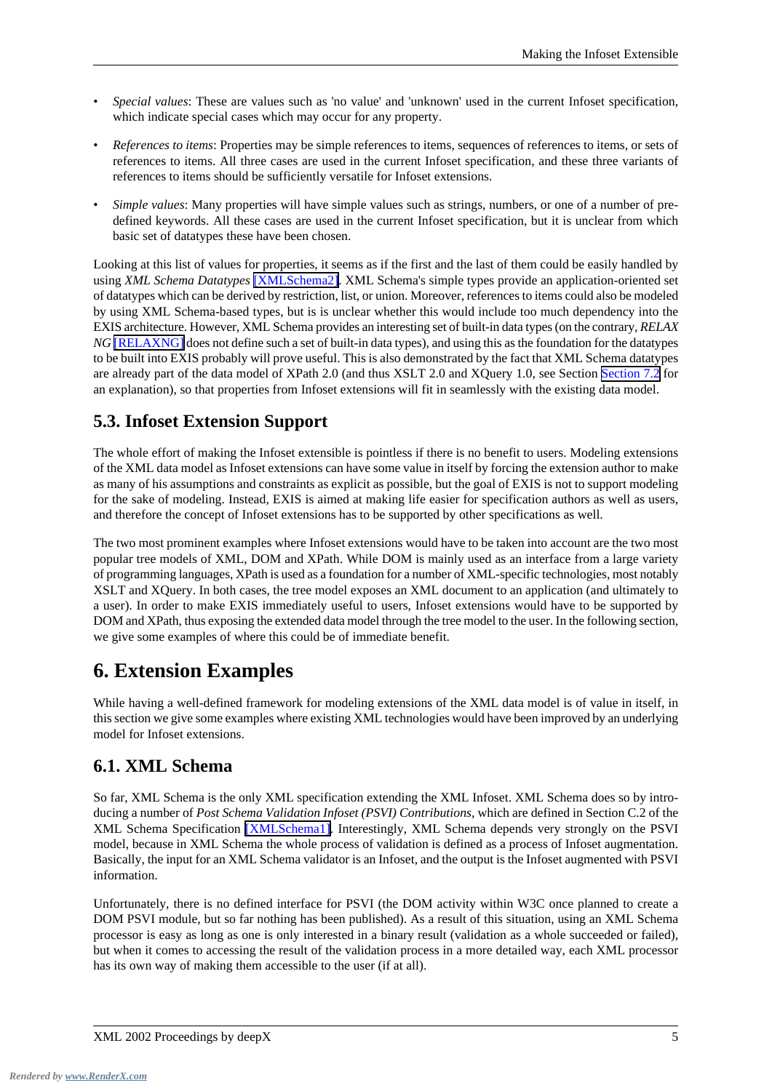- *Special values*: These are values such as 'no value' and 'unknown' used in the current Infoset specification, which indicate special cases which may occur for any property.
- *References to items*: Properties may be simple references to items, sequences of references to items, or sets of references to items. All three cases are used in the current Infoset specification, and these three variants of references to items should be sufficiently versatile for Infoset extensions.
- *Simple values*: Many properties will have simple values such as strings, numbers, or one of a number of predefined keywords. All these cases are used in the current Infoset specification, but it is unclear from which basic set of datatypes these have been chosen.

Looking at this list of values for properties, it seems as if the first and the last of them could be easily handled by using *XML Schema Datatypes* [\[XMLSchema2\]](#page-8-8). XML Schema's simple types provide an application-oriented set of datatypes which can be derived by restriction, list, or union. Moreover, references to items could also be modeled by using XML Schema-based types, but is is unclear whether this would include too much dependency into the EXIS architecture. However, XML Schema provides an interesting set of built-in data types (on the contrary, *RELAX NG* [\[RELAXNG\]](#page-8-9) does not define such a set of built-in data types), and using this as the foundation for the datatypes to be built into EXIS probably will prove useful. This is also demonstrated by the fact that XML Schema datatypes are already part of the data model of XPath 2.0 (and thus XSLT 2.0 and XQuery 1.0, see Section [Section 7.2](#page-6-0) for an explanation), so that properties from Infoset extensions will fit in seamlessly with the existing data model.

#### <span id="page-4-0"></span>**5.3. Infoset Extension Support**

The whole effort of making the Infoset extensible is pointless if there is no benefit to users. Modeling extensions of the XML data model as Infoset extensions can have some value in itself by forcing the extension author to make as many of his assumptions and constraints as explicit as possible, but the goal of EXIS is not to support modeling for the sake of modeling. Instead, EXIS is aimed at making life easier for specification authors as well as users, and therefore the concept of Infoset extensions has to be supported by other specifications as well.

<span id="page-4-1"></span>The two most prominent examples where Infoset extensions would have to be taken into account are the two most popular tree models of XML, DOM and XPath. While DOM is mainly used as an interface from a large variety of programming languages, XPath is used as a foundation for a number of XML-specific technologies, most notably XSLT and XQuery. In both cases, the tree model exposes an XML document to an application (and ultimately to a user). In order to make EXIS immediately useful to users, Infoset extensions would have to be supported by DOM and XPath, thus exposing the extended data model through the tree model to the user. In the following section, we give some examples of where this could be of immediate benefit.

## <span id="page-4-2"></span>**6. Extension Examples**

While having a well-defined framework for modeling extensions of the XML data model is of value in itself, in this section we give some examples where existing XML technologies would have been improved by an underlying model for Infoset extensions.

#### **6.1. XML Schema**

So far, XML Schema is the only XML specification extending the XML Infoset. XML Schema does so by introducing a number of *Post Schema Validation Infoset (PSVI) Contributions*, which are defined in Section C.2 of the XML Schema Specification [\[XMLSchema1\].](#page-8-5) Interestingly, XML Schema depends very strongly on the PSVI model, because in XML Schema the whole process of validation is defined as a process of Infoset augmentation. Basically, the input for an XML Schema validator is an Infoset, and the output is the Infoset augmented with PSVI information.

Unfortunately, there is no defined interface for PSVI (the DOM activity within W3C once planned to create a DOM PSVI module, but so far nothing has been published). As a result of this situation, using an XML Schema processor is easy as long as one is only interested in a binary result (validation as a whole succeeded or failed), but when it comes to accessing the result of the validation process in a more detailed way, each XML processor has its own way of making them accessible to the user (if at all).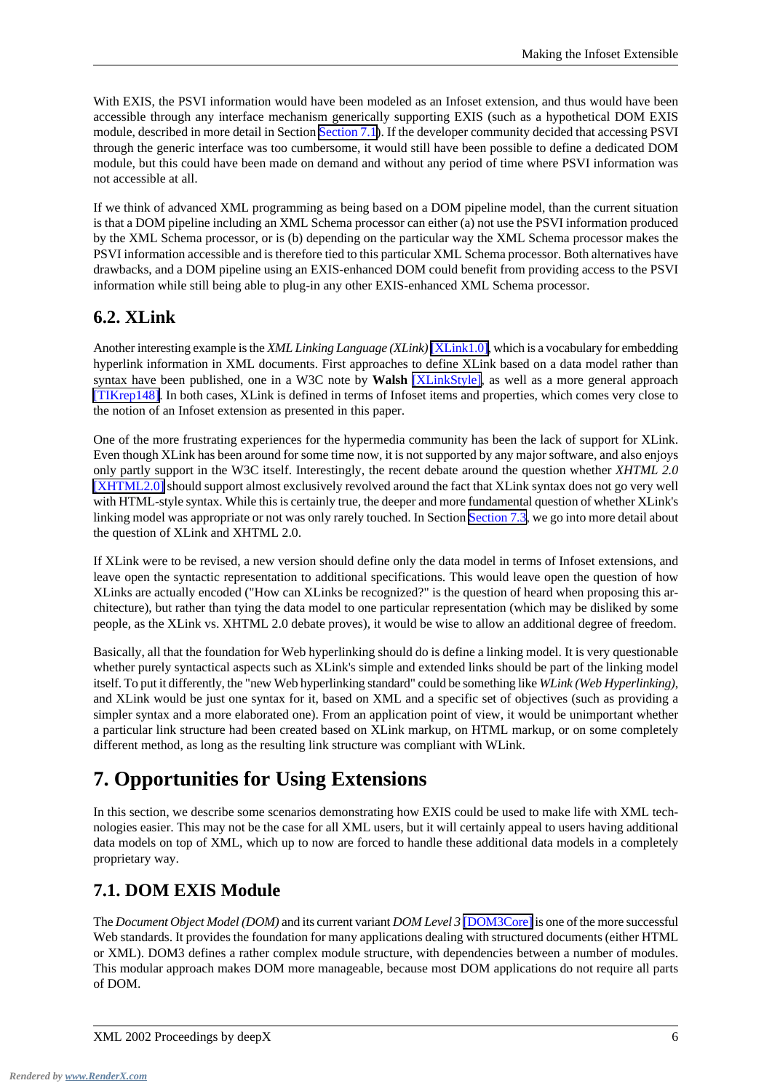With EXIS, the PSVI information would have been modeled as an Infoset extension, and thus would have been accessible through any interface mechanism generically supporting EXIS (such as a hypothetical DOM EXIS module, described in more detail in Section [Section 7.1\)](#page-5-2). If the developer community decided that accessing PSVI through the generic interface was too cumbersome, it would still have been possible to define a dedicated DOM module, but this could have been made on demand and without any period of time where PSVI information was not accessible at all.

If we think of advanced XML programming as being based on a DOM pipeline model, than the current situation is that a DOM pipeline including an XML Schema processor can either (a) not use the PSVI information produced by the XML Schema processor, or is (b) depending on the particular way the XML Schema processor makes the PSVI information accessible and is therefore tied to this particular XML Schema processor. Both alternatives have drawbacks, and a DOM pipeline using an EXIS-enhanced DOM could benefit from providing access to the PSVI information while still being able to plug-in any other EXIS-enhanced XML Schema processor.

#### <span id="page-5-0"></span>**6.2. XLink**

Another interesting example is the *XML Linking Language (XLink)* [\[XLink1.0\]](#page-8-6), which is a vocabulary for embedding hyperlink information in XML documents. First approaches to define XLink based on a data model rather than syntax have been published, one in a W3C note by **Walsh** [\[XLinkStyle\]](#page-8-10), as well as a more general approach [\[TIKrep148\]](#page-8-11). In both cases, XLink is defined in terms of Infoset items and properties, which comes very close to the notion of an Infoset extension as presented in this paper.

One of the more frustrating experiences for the hypermedia community has been the lack of support for XLink. Even though XLink has been around for some time now, it is not supported by any major software, and also enjoys only partly support in the W3C itself. Interestingly, the recent debate around the question whether *XHTML 2.0* [\[XHTML2.0\]](#page-8-12) should support almost exclusively revolved around the fact that XLink syntax does not go very well with HTML-style syntax. While this is certainly true, the deeper and more fundamental question of whether XLink's linking model was appropriate or not was only rarely touched. In Section [Section 7.3](#page-6-1), we go into more detail about the question of XLink and XHTML 2.0.

If XLink were to be revised, a new version should define only the data model in terms of Infoset extensions, and leave open the syntactic representation to additional specifications. This would leave open the question of how XLinks are actually encoded ("How can XLinks be recognized?" is the question of heard when proposing this architecture), but rather than tying the data model to one particular representation (which may be disliked by some people, as the XLink vs. XHTML 2.0 debate proves), it would be wise to allow an additional degree of freedom.

<span id="page-5-1"></span>Basically, all that the foundation for Web hyperlinking should do is define a linking model. It is very questionable whether purely syntactical aspects such as XLink's simple and extended links should be part of the linking model itself. To put it differently, the "new Web hyperlinking standard" could be something like *WLink (Web Hyperlinking)*, and XLink would be just one syntax for it, based on XML and a specific set of objectives (such as providing a simpler syntax and a more elaborated one). From an application point of view, it would be unimportant whether a particular link structure had been created based on XLink markup, on HTML markup, or on some completely different method, as long as the resulting link structure was compliant with WLink.

## <span id="page-5-2"></span>**7. Opportunities for Using Extensions**

In this section, we describe some scenarios demonstrating how EXIS could be used to make life with XML technologies easier. This may not be the case for all XML users, but it will certainly appeal to users having additional data models on top of XML, which up to now are forced to handle these additional data models in a completely proprietary way.

#### **7.1. DOM EXIS Module**

The *Document Object Model (DOM)* and its current variant *DOM Level 3* [\[DOM3Core\]](#page-7-3) is one of the more successful Web standards. It provides the foundation for many applications dealing with structured documents (either HTML or XML). DOM3 defines a rather complex module structure, with dependencies between a number of modules. This modular approach makes DOM more manageable, because most DOM applications do not require all parts of DOM.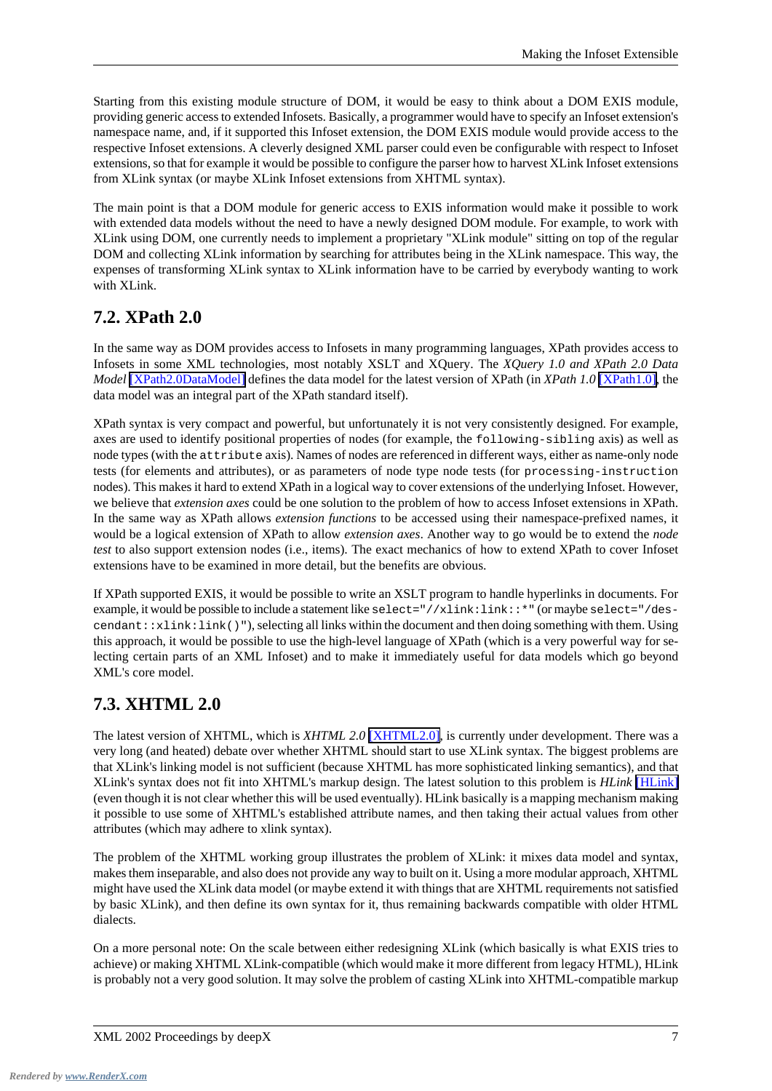Starting from this existing module structure of DOM, it would be easy to think about a DOM EXIS module, providing generic access to extended Infosets. Basically, a programmer would have to specify an Infoset extension's namespace name, and, if it supported this Infoset extension, the DOM EXIS module would provide access to the respective Infoset extensions. A cleverly designed XML parser could even be configurable with respect to Infoset extensions, so that for example it would be possible to configure the parser how to harvest XLink Infoset extensions from XLink syntax (or maybe XLink Infoset extensions from XHTML syntax).

The main point is that a DOM module for generic access to EXIS information would make it possible to work with extended data models without the need to have a newly designed DOM module. For example, to work with XLink using DOM, one currently needs to implement a proprietary "XLink module" sitting on top of the regular DOM and collecting XLink information by searching for attributes being in the XLink namespace. This way, the expenses of transforming XLink syntax to XLink information have to be carried by everybody wanting to work with XLink.

#### <span id="page-6-0"></span>**7.2. XPath 2.0**

In the same way as DOM provides access to Infosets in many programming languages, XPath provides access to Infosets in some XML technologies, most notably XSLT and XQuery. The *XQuery 1.0 and XPath 2.0 Data Model* [\[XPath2.0DataModel\]](#page-8-13) defines the data model for the latest version of XPath (in *XPath 1.0* [\[XPath1.0\]](#page-8-2), the data model was an integral part of the XPath standard itself).

XPath syntax is very compact and powerful, but unfortunately it is not very consistently designed. For example, axes are used to identify positional properties of nodes (for example, the following-sibling axis) as well as node types (with the attribute axis). Names of nodes are referenced in different ways, either as name-only node tests (for elements and attributes), or as parameters of node type node tests (for processing-instruction nodes). This makes it hard to extend XPath in a logical way to cover extensions of the underlying Infoset. However, we believe that *extension axes* could be one solution to the problem of how to access Infoset extensions in XPath. In the same way as XPath allows *extension functions* to be accessed using their namespace-prefixed names, it would be a logical extension of XPath to allow *extension axes*. Another way to go would be to extend the *node test* to also support extension nodes (i.e., items). The exact mechanics of how to extend XPath to cover Infoset extensions have to be examined in more detail, but the benefits are obvious.

<span id="page-6-1"></span>If XPath supported EXIS, it would be possible to write an XSLT program to handle hyperlinks in documents. For example, it would be possible to include a statement like select="//xlink:link::\*" (or maybe select="/des $c$ endant:: $xlink:link()$ "), selecting all links within the document and then doing something with them. Using this approach, it would be possible to use the high-level language of XPath (which is a very powerful way for selecting certain parts of an XML Infoset) and to make it immediately useful for data models which go beyond XML's core model.

#### **7.3. XHTML 2.0**

The latest version of XHTML, which is *XHTML 2.0* [\[XHTML2.0\]](#page-8-12), is currently under development. There was a very long (and heated) debate over whether XHTML should start to use XLink syntax. The biggest problems are that XLink's linking model is not sufficient (because XHTML has more sophisticated linking semantics), and that XLink's syntax does not fit into XHTML's markup design. The latest solution to this problem is *HLink* [\[HLink\]](#page-7-4) (even though it is not clear whether this will be used eventually). HLink basically is a mapping mechanism making it possible to use some of XHTML's established attribute names, and then taking their actual values from other attributes (which may adhere to xlink syntax).

The problem of the XHTML working group illustrates the problem of XLink: it mixes data model and syntax, makes them inseparable, and also does not provide any way to built on it. Using a more modular approach, XHTML might have used the XLink data model (or maybe extend it with things that are XHTML requirements not satisfied by basic XLink), and then define its own syntax for it, thus remaining backwards compatible with older HTML dialects.

On a more personal note: On the scale between either redesigning XLink (which basically is what EXIS tries to achieve) or making XHTML XLink-compatible (which would make it more different from legacy HTML), HLink is probably not a very good solution. It may solve the problem of casting XLink into XHTML-compatible markup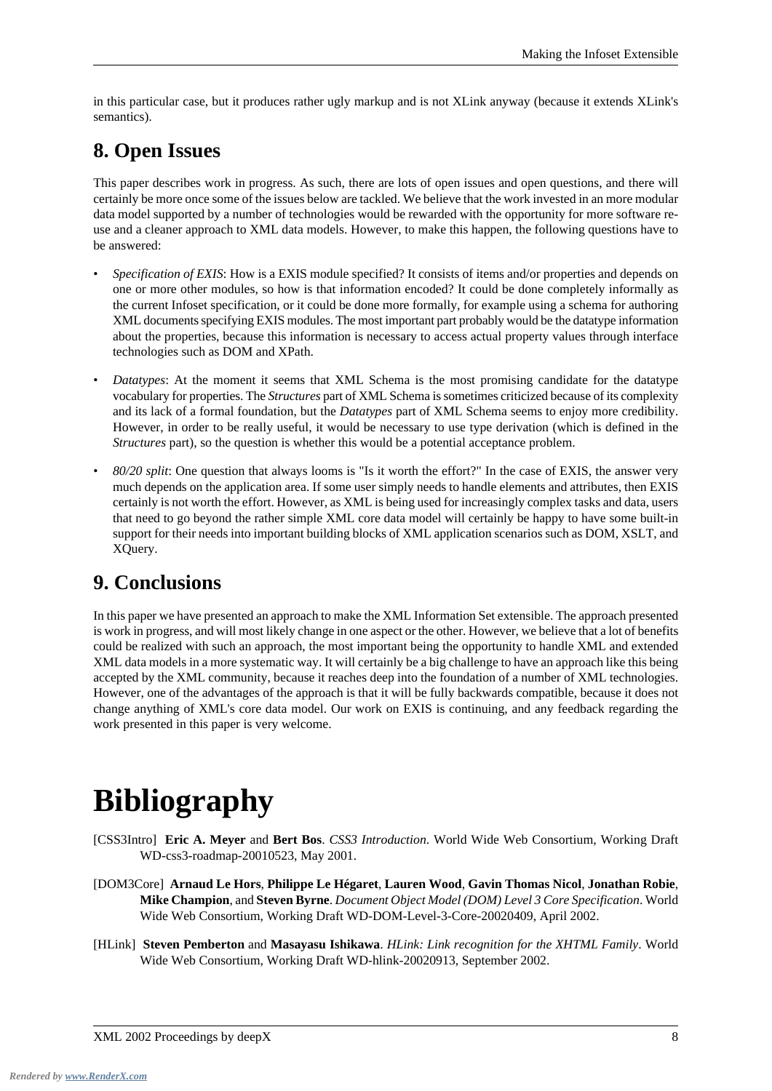<span id="page-7-0"></span>in this particular case, but it produces rather ugly markup and is not XLink anyway (because it extends XLink's semantics).

## **8. Open Issues**

This paper describes work in progress. As such, there are lots of open issues and open questions, and there will certainly be more once some of the issues below are tackled. We believe that the work invested in an more modular data model supported by a number of technologies would be rewarded with the opportunity for more software reuse and a cleaner approach to XML data models. However, to make this happen, the following questions have to be answered:

- *Specification of EXIS*: How is a EXIS module specified? It consists of items and/or properties and depends on one or more other modules, so how is that information encoded? It could be done completely informally as the current Infoset specification, or it could be done more formally, for example using a schema for authoring XML documents specifying EXIS modules. The most important part probably would be the datatype information about the properties, because this information is necessary to access actual property values through interface technologies such as DOM and XPath.
- *Datatypes*: At the moment it seems that XML Schema is the most promising candidate for the datatype vocabulary for properties. The *Structures* part of XML Schema is sometimes criticized because of its complexity and its lack of a formal foundation, but the *Datatypes* part of XML Schema seems to enjoy more credibility. However, in order to be really useful, it would be necessary to use type derivation (which is defined in the *Structures* part), so the question is whether this would be a potential acceptance problem.
- <span id="page-7-1"></span>• *80/20 split*: One question that always looms is "Is it worth the effort?" In the case of EXIS, the answer very much depends on the application area. If some user simply needs to handle elements and attributes, then EXIS certainly is not worth the effort. However, as XML is being used for increasingly complex tasks and data, users that need to go beyond the rather simple XML core data model will certainly be happy to have some built-in support for their needs into important building blocks of XML application scenarios such as DOM, XSLT, and XQuery.

#### **9. Conclusions**

<span id="page-7-2"></span>In this paper we have presented an approach to make the XML Information Set extensible. The approach presented is work in progress, and will most likely change in one aspect or the other. However, we believe that a lot of benefits could be realized with such an approach, the most important being the opportunity to handle XML and extended XML data models in a more systematic way. It will certainly be a big challenge to have an approach like this being accepted by the XML community, because it reaches deep into the foundation of a number of XML technologies. However, one of the advantages of the approach is that it will be fully backwards compatible, because it does not change anything of XML's core data model. Our work on EXIS is continuing, and any feedback regarding the work presented in this paper is very welcome.

# <span id="page-7-3"></span>**Bibliography**

- <span id="page-7-4"></span>[CSS3Intro] **Eric A. Meyer** and **Bert Bos**. *CSS3 Introduction*. World Wide Web Consortium, Working Draft WD-css3-roadmap-20010523, May 2001.
- [DOM3Core] **Arnaud Le Hors**, **Philippe Le Hégaret**, **Lauren Wood**, **Gavin Thomas Nicol**, **Jonathan Robie**, **Mike Champion**, and **Steven Byrne**. *Document Object Model (DOM) Level 3 Core Specification*. World Wide Web Consortium, Working Draft WD-DOM-Level-3-Core-20020409, April 2002.
- [HLink] **Steven Pemberton** and **Masayasu Ishikawa**. *HLink: Link recognition for the XHTML Family*. World Wide Web Consortium, Working Draft WD-hlink-20020913, September 2002.